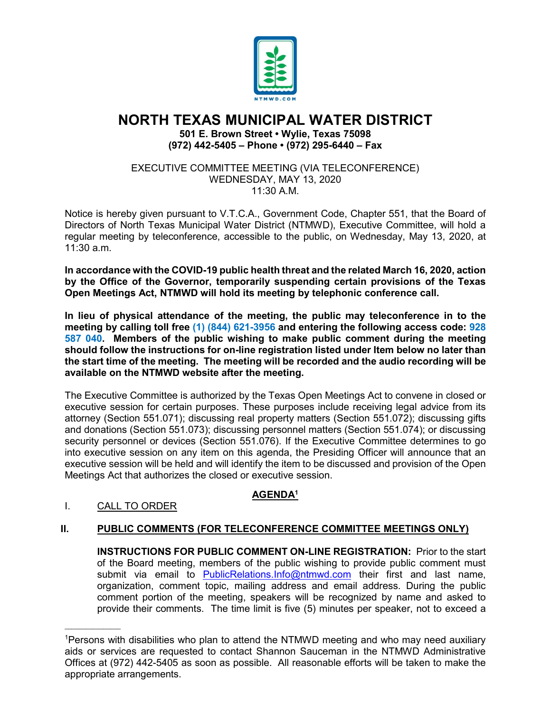

# **NORTH TEXAS MUNICIPAL WATER DISTRICT**

**501 E. Brown Street • Wylie, Texas 75098 (972) 442-5405 – Phone • (972) 295-6440 – Fax**

EXECUTIVE COMMITTEE MEETING (VIA TELECONFERENCE) WEDNESDAY, MAY 13, 2020  $11:30$  A M

Notice is hereby given pursuant to V.T.C.A., Government Code, Chapter 551, that the Board of Directors of North Texas Municipal Water District (NTMWD), Executive Committee, will hold a regular meeting by teleconference, accessible to the public, on Wednesday, May 13, 2020, at 11:30 a.m.

**In accordance with the COVID-19 public health threat and the related March 16, 2020, action by the Office of the Governor, temporarily suspending certain provisions of the Texas Open Meetings Act, NTMWD will hold its meeting by telephonic conference call.** 

**In lieu of physical attendance of the meeting, the public may teleconference in to the meeting by calling toll free (1) (844) 621-3956 and entering the following access code: 928 587 040. Members of the public wishing to make public comment during the meeting should follow the instructions for on-line registration listed under Item below no later than the start time of the meeting. The meeting will be recorded and the audio recording will be available on the NTMWD website after the meeting.**

The Executive Committee is authorized by the Texas Open Meetings Act to convene in closed or executive session for certain purposes. These purposes include receiving legal advice from its attorney (Section 551.071); discussing real property matters (Section 551.072); discussing gifts and donations (Section 551.073); discussing personnel matters (Section 551.074); or discussing security personnel or devices (Section 551.076). If the Executive Committee determines to go into executive session on any item on this agenda, the Presiding Officer will announce that an executive session will be held and will identify the item to be discussed and provision of the Open Meetings Act that authorizes the closed or executive session.

## **AGENDA1**

## I. CALL TO ORDER

 $\overline{\phantom{a}}$  , where  $\overline{\phantom{a}}$ 

#### **II. PUBLIC COMMENTS (FOR TELECONFERENCE COMMITTEE MEETINGS ONLY)**

**INSTRUCTIONS FOR PUBLIC COMMENT ON-LINE REGISTRATION:** Prior to the start of the Board meeting, members of the public wishing to provide public comment must submit via email to [PublicRelations.Info@ntmwd.com](mailto:PublicRelations.Info@ntmwd.com) their first and last name, organization, comment topic, mailing address and email address. During the public comment portion of the meeting, speakers will be recognized by name and asked to provide their comments. The time limit is five (5) minutes per speaker, not to exceed a

<sup>1</sup> Persons with disabilities who plan to attend the NTMWD meeting and who may need auxiliary aids or services are requested to contact Shannon Sauceman in the NTMWD Administrative Offices at (972) 442-5405 as soon as possible. All reasonable efforts will be taken to make the appropriate arrangements.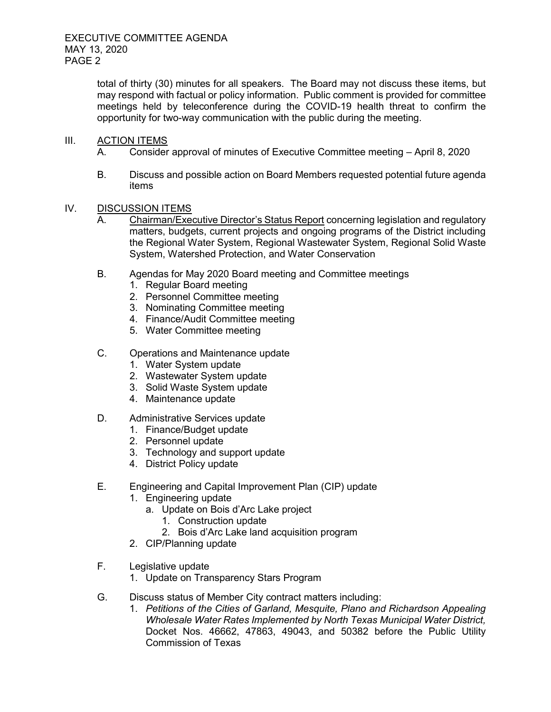total of thirty (30) minutes for all speakers. The Board may not discuss these items, but may respond with factual or policy information. Public comment is provided for committee meetings held by teleconference during the COVID-19 health threat to confirm the opportunity for two-way communication with the public during the meeting.

#### III. ACTION ITEMS

- A. Consider approval of minutes of Executive Committee meeting April 8, 2020
- B. Discuss and possible action on Board Members requested potential future agenda items
- IV. DISCUSSION ITEMS
	- A. Chairman/Executive Director's Status Report concerning legislation and regulatory matters, budgets, current projects and ongoing programs of the District including the Regional Water System, Regional Wastewater System, Regional Solid Waste System, Watershed Protection, and Water Conservation
	- B. Agendas for May 2020 Board meeting and Committee meetings
		- 1. Regular Board meeting
		- 2. Personnel Committee meeting
		- 3. Nominating Committee meeting
		- 4. Finance/Audit Committee meeting
		- 5. Water Committee meeting
	- C. Operations and Maintenance update
		- 1. Water System update
		- 2. Wastewater System update
		- 3. Solid Waste System update
		- 4. Maintenance update
	- D. Administrative Services update
		- 1. Finance/Budget update
		- 2. Personnel update
		- 3. Technology and support update
		- 4. District Policy update
	- E. Engineering and Capital Improvement Plan (CIP) update
		- 1. Engineering update
			- a. Update on Bois d'Arc Lake project
				- 1. Construction update
				- 2. Bois d'Arc Lake land acquisition program
		- 2. CIP/Planning update
	- F. Legislative update
		- 1. Update on Transparency Stars Program
	- G. Discuss status of Member City contract matters including:
		- 1. *Petitions of the Cities of Garland, Mesquite, Plano and Richardson Appealing Wholesale Water Rates Implemented by North Texas Municipal Water District,*  Docket Nos. 46662, 47863, 49043, and 50382 before the Public Utility Commission of Texas